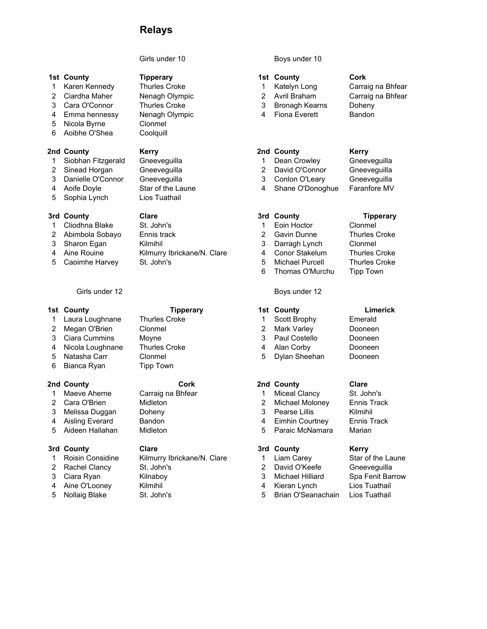# Relays

## 1st County **1st County** Tipperary **1st County** Cork

- 1 Karen Kennedy Thurles Croke 1 Katelyn Long Carraig na Bhfear
- 2 Ciardha Maher Nenagh Olympic 2 Avril Braham Carraig na Bhfear
- 
- 
- 5 Nicola Byrne Clonmel
- 6 Aoibhe O'Shea Coolquill

- 1 Siobhan Fitzgerald Gneeveguilla 1 Dean Crowley Gneeveguilla
- 
- 
- 
- 5 Sophia Lynch Lios Tuathail

## 3rd County Clare 3rd County Tipperary

- 
- 
- 
- 
- 

### 1st County **1st County** Tipperary 1st County 1st County Limerick

- 
- 
- 
- 
- 
- 6 Bianca Ryan Tipp Town

- 
- 
- 
- 
- 

- 
- 
- 
- 
- 

# 3 Cara O'Connor Thurles Croke 3 Bronagh Kearns Doheny

4 Emma hennessy Nenagh Olympic **4 Fiona Everett** Bandon

- 
- 
- 
- 

- 3rd County **3rd County** Clare **3rd County Kerry** 1 Roisin Considine Kilmurry Ibrickane/N. Clare 1 Liam Carey Star of the Laune 2 Rachel Clancy St. John's 2 David O'Keefe Gneeveguilla 3 Ciara Ryan Kilnaboy 3 Michael Hilliard Spa Fenit Barrow
- 4 Aine O'Looney Kilmihil 4 Kieran Lynch Lios Tuathail
	-

## Girls under 10 Boys under 10

- 
- 
- 
- 

## 2nd County Kerry 2nd County Kerry

- 
- 2 Sinead Horgan Gneeveguilla 2 David O'Connor Gneeveguilla
- 3 Danielle O'Connor Gneeveguilla 3 Conlon O'Leary Gneeveguilla
- 4 Aoife Doyle Star of the Laune 4 Shane O'Donoghue Faranfore MV

1 Cliodhna Blake St. John's 1 Eoin Hoctor Clonmel 2 Abimbola Sobayo Ennis track 2 Gavin Dunne Thurles Croke 3 Sharon Egan Kilmihil 3 Darragh Lynch Clonmel 4 Aine Rouine Kilmurry Ibrickane/N. Clare 4 Conor Stakelum Thurles Croke 5 Caoimhe Harvey St. John's 30 Caoimhe Harvey St. John's 5 Michael Purcell 5 Michael Purcell 5 Croke 6 Thomas O'Murchu Tipp Town

## Girls under 12 Boys under 12

1 Laura Loughnane Thurles Croke 1 Scott Brophy Emerald 2 Megan O'Brien Clonmel 2 Mark Varley Dooneen 3 Ciara Cummins Moyne 3 Paul Costello Dooneen 4 Nicola Loughnane Thurles Croke 4 Alan Corby Dooneen 5 Natasha Carr Clonmel 5 Dylan Sheehan Dooneen

- 1 Maeve Aherne Carraig na Bhfear 1 Miceal Clancy St. John's
- 2 Cara O'Brien Midleton 2 Michael Moloney Ennis Track
- 3 Melissa Duggan Doheny 13 Pearse Lillis Kilmihil
- 4 Aisling Everard Bandon 4 Eimhin Courtney Ennis Track 5 Aideen Hallahan Midleton 5 Paraic McNamara Marian

- 
- 
- 
- 
- 
- 5 Nollaig Blake St. John's 5 Brian O'Seanachain Lios Tuathail